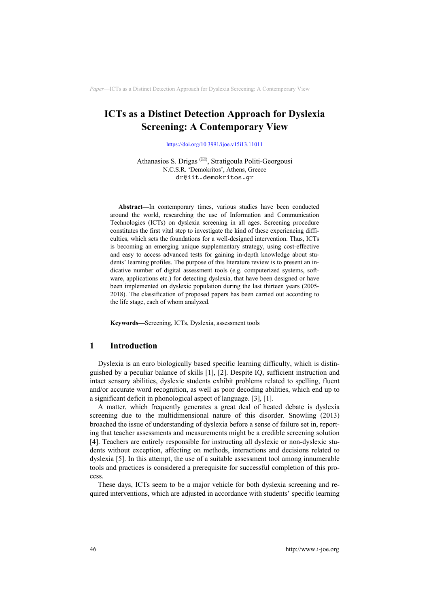https://doi.org/10.3991/ijoe.v15i13.11011

Athanasios S. Drigas<sup>(20)</sup>, Stratigoula Politi-Georgousi N.C.S.R. 'Demokritos', Athens, Greece dr@iit.demokritos.gr

**[Abstract—](mailto:dr@iit.demokritos.gr)**In contemporary times, various studies have been conducted around the world, researching the use of Information and Communication Technologies (ICTs) on dyslexia screening in all ages. Screening procedure constitutes the first vital step to investigate the kind of these experiencing difficulties, which sets the foundations for a well-designed intervention. Thus, ICTs is becoming an emerging unique supplementary strategy, using cost-effective and easy to access advanced tests for gaining in-depth knowledge about students' learning profiles. The purpose of this literature review is to present an indicative number of digital assessment tools (e.g. computerized systems, software, applications etc.) for detecting dyslexia, that have been designed or have been implemented on dyslexic population during the last thirteen years (2005- 2018). The classification of proposed papers has been carried out according to the life stage, each of whom analyzed.

**Keywords—**Screening, ICTs, Dyslexia, assessment tools

#### **1 Introduction**

Dyslexia is an euro biologically based specific learning difficulty, which is distinguished by a peculiar balance of skills [1], [2]. Despite IQ, sufficient instruction and intact sensory abilities, dyslexic students exhibit problems related to spelling, fluent and/or accurate word recognition, as well as poor decoding abilities, which end up to a significant deficit in phonological aspect of language. [3], [1].

A matter, which frequently generates a great deal of heated debate is dyslexia screening due to the multidimensional nature of this disorder. Snowling (2013) broached the issue of understanding of dyslexia before a sense of failure set in, reporting that teacher assessments and measurements might be a credible screening solution [4]. Teachers are entirely responsible for instructing all dyslexic or non-dyslexic students without exception, affecting on methods, interactions and decisions related to dyslexia [5]. In this attempt, the use of a suitable assessment tool among innumerable tools and practices is considered a prerequisite for successful completion of this process.

These days, ICTs seem to be a major vehicle for both dyslexia screening and required interventions, which are adjusted in accordance with students' specific learning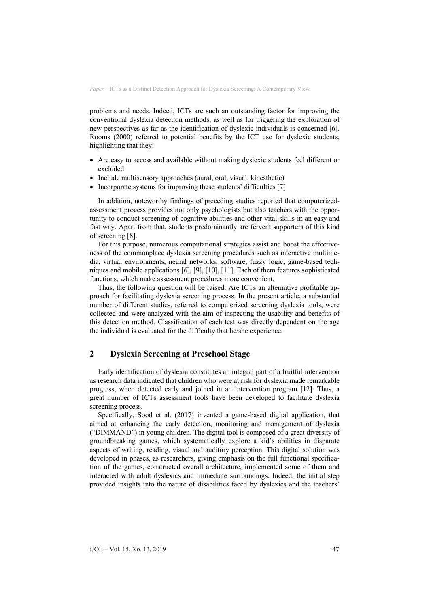problems and needs. Indeed, ICTs are such an outstanding factor for improving the conventional dyslexia detection methods, as well as for triggering the exploration of new perspectives as far as the identification of dyslexic individuals is concerned [6]. Rooms (2000) referred to potential benefits by the ICT use for dyslexic students, highlighting that they:

- Are easy to access and available without making dyslexic students feel different or excluded
- Include multisensory approaches (aural, oral, visual, kinesthetic)
- Incorporate systems for improving these students' difficulties [7]

In addition, noteworthy findings of preceding studies reported that computerizedassessment process provides not only psychologists but also teachers with the opportunity to conduct screening of cognitive abilities and other vital skills in an easy and fast way. Apart from that, students predominantly are fervent supporters of this kind of screening [8].

For this purpose, numerous computational strategies assist and boost the effectiveness of the commonplace dyslexia screening procedures such as interactive multimedia, virtual environments, neural networks, software, fuzzy logic, game-based techniques and mobile applications [6], [9], [10], [11]. Each of them features sophisticated functions, which make assessment procedures more convenient.

Thus, the following question will be raised: Are ICTs an alternative profitable approach for facilitating dyslexia screening process. In the present article, a substantial number of different studies, referred to computerized screening dyslexia tools, were collected and were analyzed with the aim of inspecting the usability and benefits of this detection method. Classification of each test was directly dependent on the age the individual is evaluated for the difficulty that he/she experience.

# **2 Dyslexia Screening at Preschool Stage**

Early identification of dyslexia constitutes an integral part of a fruitful intervention as research data indicated that children who were at risk for dyslexia made remarkable progress, when detected early and joined in an intervention program [12]. Thus, a great number of ICTs assessment tools have been developed to facilitate dyslexia screening process.

Specifically, Sood et al. (2017) invented a game-based digital application, that aimed at enhancing the early detection, monitoring and management of dyslexia ("DIMMAND") in young children. The digital tool is composed of a great diversity of groundbreaking games, which systematically explore a kid's abilities in disparate aspects of writing, reading, visual and auditory perception. This digital solution was developed in phases, as researchers, giving emphasis on the full functional specification of the games, constructed overall architecture, implemented some of them and interacted with adult dyslexics and immediate surroundings. Indeed, the initial step provided insights into the nature of disabilities faced by dyslexics and the teachers'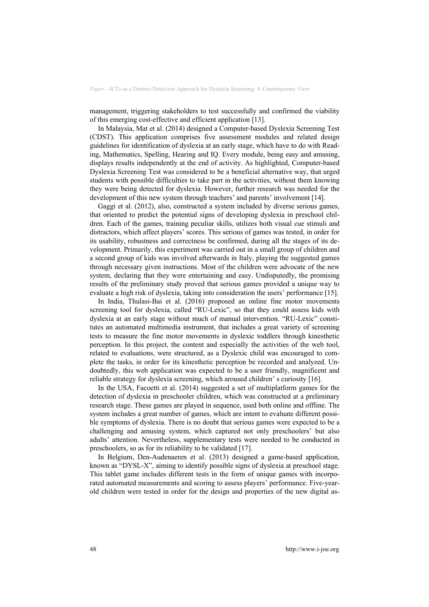management, triggering stakeholders to test successfully and confirmed the viability of this emerging cost-effective and efficient application [13].

In Malaysia, Mat et al. (2014) designed a Computer-based Dyslexia Screening Test (CDST). This application comprises five assessment modules and related design guidelines for identification of dyslexia at an early stage, which have to do with Reading, Mathematics, Spelling, Hearing and IQ. Every module, being easy and amusing, displays results independently at the end of activity. As highlighted, Computer-based Dyslexia Screening Test was considered to be a beneficial alternative way, that urged students with possible difficulties to take part in the activities, without them knowing they were being detected for dyslexia. However, further research was needed for the development of this new system through teachers' and parents' involvement [14].

Gaggi et al. (2012), also, constructed a system included by diverse serious games, that oriented to predict the potential signs of developing dyslexia in preschool children. Each of the games, training peculiar skills, utilizes both visual cue stimuli and distractors, which affect players' scores. This serious of games was tested, in order for its usability, robustness and correctness be confirmed, during all the stages of its development. Primarily, this experiment was carried out in a small group of children and a second group of kids was involved afterwards in Italy, playing the suggested games through necessary given instructions. Most of the children were advocate of the new system, declaring that they were entertaining and easy. Undisputedly, the promising results of the preliminary study proved that serious games provided a unique way to evaluate a high risk of dyslexia, taking into consideration the users' performance [15].

In India, Thulasi-Bai et al. (2016) proposed an online fine motor movements screening tool for dyslexia, called "RU-Lexic", so that they could assess kids with dyslexia at an early stage without much of manual intervention. "RU-Lexic" constitutes an automated multimedia instrument, that includes a great variety of screening tests to measure the fine motor movements in dyslexic toddlers through kinesthetic perception. In this project, the content and especially the activities of the web tool, related to evaluations, were structured, as a Dyslexic child was encouraged to complete the tasks, in order for its kinesthetic perception be recorded and analyzed. Undoubtedly, this web application was expected to be a user friendly, magnificent and reliable strategy for dyslexia screening, which aroused children' s curiosity [16].

In the USA, Facoetti et al. (2014) suggested a set of multiplatform games for the detection of dyslexia in preschooler children, which was constructed at a preliminary research stage. These games are played in sequence, used both online and offline. The system includes a great number of games, which are intent to evaluate different possible symptoms of dyslexia. There is no doubt that serious games were expected to be a challenging and amusing system, which captured not only preschoolers' but also adults' attention. Nevertheless, supplementary tests were needed to be conducted in preschoolers, so as for its reliability to be validated [17].

In Belgium, Den-Audenaeren et al. (2013) designed a game-based application, known as "DYSL-X", aiming to identify possible signs of dyslexia at preschool stage. This tablet game includes different tests in the form of unique games with incorporated automated measurements and scoring to assess players' performance. Five-yearold children were tested in order for the design and properties of the new digital as-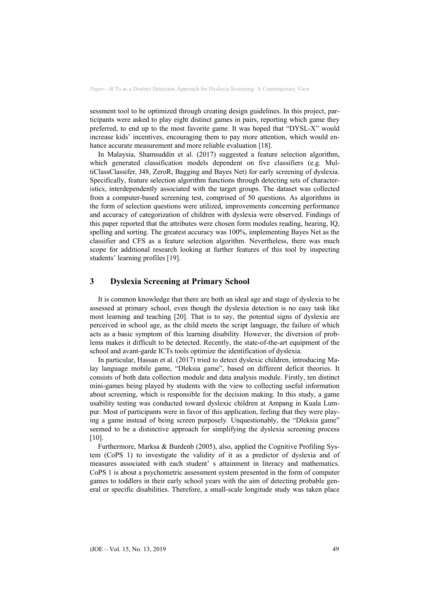sessment tool to be optimized through creating design guidelines. In this project, participants were asked to play eight distinct games in pairs, reporting which game they preferred, to end up to the most favorite game. It was hoped that "DYSL-X" would increase kids' incentives, encouraging them to pay more attention, which would enhance accurate measurement and more reliable evaluation [18].

In Malaysia, Shamsuddin et al. (2017) suggested a feature selection algorithm, which generated classification models dependent on five classifiers (e.g. MultiClassClassifer, J48, ZeroR, Bagging and Bayes Net) for early screening of dyslexia. Specifically, feature selection algorithm functions through detecting sets of characteristics, interdependently associated with the target groups. The dataset was collected from a computer-based screening test, comprised of 50 questions. As algorithms in the form of selection questions were utilized, improvements concerning performance and accuracy of categorization of children with dyslexia were observed. Findings of this paper reported that the attributes were chosen form modules reading, hearing, IQ, spelling and sorting. The greatest accuracy was 100%, implementing Bayes Net as the classifier and CFS as a feature selection algorithm. Nevertheless, there was much scope for additional research looking at further features of this tool by inspecting students' learning profiles [19].

## **3 Dyslexia Screening at Primary School**

It is common knowledge that there are both an ideal age and stage of dyslexia to be assessed at primary school, even though the dyslexia detection is no easy task like most learning and teaching [20]. That is to say, the potential signs of dyslexia are perceived in school age, as the child meets the script language, the failure of which acts as a basic symptom of this learning disability. However, the diversion of problems makes it difficult to be detected. Recently, the state-of-the-art equipment of the school and avant-garde ICTs tools optimize the identification of dyslexia.

In particular, Hassan et al. (2017) tried to detect dyslexic children, introducing Malay language mobile game, "Dleksia game", based on different deficit theories. It consists of both data collection module and data analysis module. Firstly, ten distinct mini-games being played by students with the view to collecting useful information about screening, which is responsible for the decision making. In this study, a game usability testing was conducted toward dyslexic children at Ampang in Kuala Lumpur. Most of participants were in favor of this application, feeling that they were playing a game instead of being screen purposely. Unquestionably, the "Dleksia game" seemed to be a distinctive approach for simplifying the dyslexia screening process  $[10]$ .

Furthermore, Marksa & Burdenb (2005), also, applied the Cognitive Profiling System (CoPS 1) to investigate the validity of it as a predictor of dyslexia and of measures associated with each student' s attainment in literacy and mathematics. CoPS 1 is about a psychometric assessment system presented in the form of computer games to toddlers in their early school years with the aim of detecting probable general or specific disabilities. Therefore, a small-scale longitude study was taken place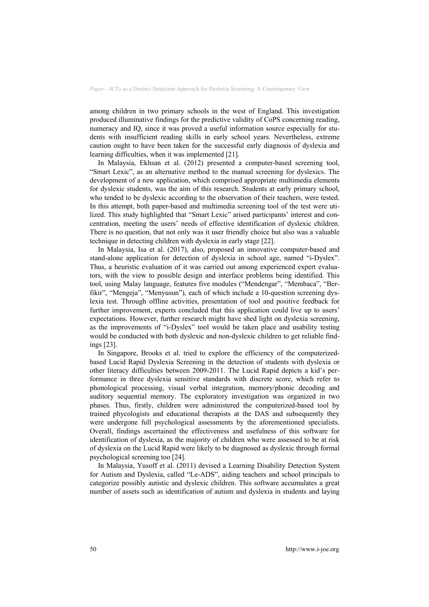among children in two primary schools in the west of England. This investigation produced illuminative findings for the predictive validity of CoPS concerning reading, numeracy and IQ, since it was proved a useful information source especially for students with insufficient reading skills in early school years. Nevertheless, extreme caution ought to have been taken for the successful early diagnosis of dyslexia and learning difficulties, when it was implemented [21].

In Malaysia, Ekhsan et al. (2012) presented a computer-based screening tool, "Smart Lexic", as an alternative method to the manual screening for dyslexics. The development of a new application, which comprised appropriate multimedia elements for dyslexic students, was the aim of this research. Students at early primary school, who tended to be dyslexic according to the observation of their teachers, were tested. In this attempt, both paper-based and multimedia screening tool of the test were utilized. This study highlighted that "Smart Lexic" arised participants' interest and concentration, meeting the users' needs of effective identification of dyslexic children. There is no question, that not only was it user friendly choice but also was a valuable technique in detecting children with dyslexia in early stage [22].

In Malaysia, Isa et al. (2017), also, proposed an innovative computer-based and stand-alone application for detection of dyslexia in school age, named "i-Dyslex". Thus, a heuristic evaluation of it was carried out among experienced expert evaluators, with the view to possible design and interface problems being identified. This tool, using Malay language, features five modules ("Mendengar", "Membaca", "Berfikir", "Mengeja", "Menyusun"), each of which include a 10-question screening dyslexia test. Through offline activities, presentation of tool and positive feedback for further improvement, experts concluded that this application could live up to users' expectations. However, further research might have shed light on dyslexia screening, as the improvements of "i-Dyslex" tool would be taken place and usability testing would be conducted with both dyslexic and non-dyslexic children to get reliable findings [23].

In Singapore, Brooks et al. tried to explore the efficiency of the computerizedbased Lucid Rapid Dyslexia Screening in the detection of students with dyslexia or other literacy difficulties between 2009-2011. The Lucid Rapid depicts a kid's performance in three dyslexia sensitive standards with discrete score, which refer to phonological processing, visual verbal integration, memory/phonic decoding and auditory sequential memory. The exploratory investigation was organized in two phases. Thus, firstly, children were administered the computerized-based tool by trained phycologists and educational therapists at the DAS and subsequently they were undergone full psychological assessments by the aforementioned specialists. Overall, findings ascertained the effectiveness and usefulness of this software for identification of dyslexia, as the majority of children who were assessed to be at risk of dyslexia on the Lucid Rapid were likely to be diagnosed as dyslexic through formal psychological screening too [24].

In Malaysia, Yusoff et al. (2011) devised a Learning Disability Detection System for Autism and Dyslexia, called "Le-ADS", aiding teachers and school principals to categorize possibly autistic and dyslexic children. This software accumulates a great number of assets such as identification of autism and dyslexia in students and laying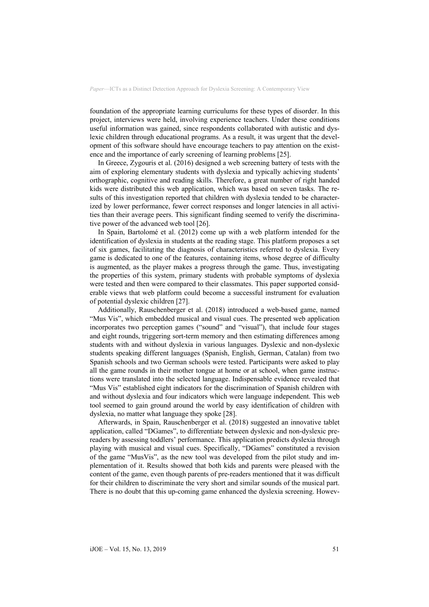foundation of the appropriate learning curriculums for these types of disorder. In this project, interviews were held, involving experience teachers. Under these conditions useful information was gained, since respondents collaborated with autistic and dyslexic children through educational programs. As a result, it was urgent that the development of this software should have encourage teachers to pay attention on the existence and the importance of early screening of learning problems [25].

In Greece, Zygouris et al. (2016) designed a web screening battery of tests with the aim of exploring elementary students with dyslexia and typically achieving students' orthographic, cognitive and reading skills. Therefore, a great number of right handed kids were distributed this web application, which was based on seven tasks. The results of this investigation reported that children with dyslexia tended to be characterized by lower performance, fewer correct responses and longer latencies in all activities than their average peers. Τhis significant finding seemed to verify the discriminative power of the advanced web tool [26].

In Spain, Bartolomé et al. (2012) come up with a web platform intended for the identification of dyslexia in students at the reading stage. This platform proposes a set of six games, facilitating the diagnosis of characteristics referred to dyslexia. Every game is dedicated to one of the features, containing items, whose degree of difficulty is augmented, as the player makes a progress through the game. Thus, investigating the properties of this system, primary students with probable symptoms of dyslexia were tested and then were compared to their classmates. This paper supported considerable views that web platform could become a successful instrument for evaluation of potential dyslexic children [27].

Additionally, Rauschenberger et al. (2018) introduced a web-based game, named "Mus Vis", which embedded musical and visual cues. The presented web application incorporates two perception games ("sound" and "visual"), that include four stages and eight rounds, triggering sort-term memory and then estimating differences among students with and without dyslexia in various languages. Dyslexic and non-dyslexic students speaking different languages (Spanish, English, German, Catalan) from two Spanish schools and two German schools were tested. Participants were asked to play all the game rounds in their mother tongue at home or at school, when game instructions were translated into the selected language. Indispensable evidence revealed that "Mus Vis" established eight indicators for the discrimination of Spanish children with and without dyslexia and four indicators which were language independent. This web tool seemed to gain ground around the world by easy identification of children with dyslexia, no matter what language they spoke [28].

Afterwards, in Spain, Rauschenberger et al. (2018) suggested an innovative tablet application, called "DGames", to differentiate between dyslexic and non-dyslexic prereaders by assessing toddlers' performance. This application predicts dyslexia through playing with musical and visual cues. Specifically, "DGames" constituted a revision of the game "MusVis", as the new tool was developed from the pilot study and implementation of it. Results showed that both kids and parents were pleased with the content of the game, even though parents of pre-readers mentioned that it was difficult for their children to discriminate the very short and similar sounds of the musical part. There is no doubt that this up-coming game enhanced the dyslexia screening. Howev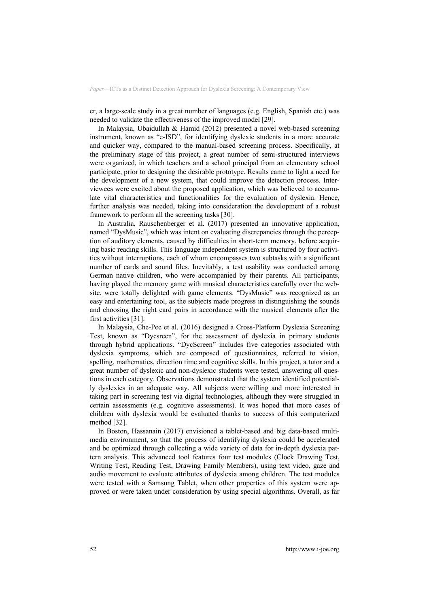er, a large-scale study in a great number of languages (e.g. English, Spanish etc.) was needed to validate the effectiveness of the improved model [29].

In Malaysia, Ubaidullah & Hamid (2012) presented a novel web-based screening instrument, known as "e-ISD", for identifying dyslexic students in a more accurate and quicker way, compared to the manual-based screening process. Specifically, at the preliminary stage of this project, a great number of semi-structured interviews were organized, in which teachers and a school principal from an elementary school participate, prior to designing the desirable prototype. Results came to light a need for the development of a new system, that could improve the detection process. Interviewees were excited about the proposed application, which was believed to accumulate vital characteristics and functionalities for the evaluation of dyslexia. Hence, further analysis was needed, taking into consideration the development of a robust framework to perform all the screening tasks [30].

In Australia, Rauschenberger et al. (2017) presented an innovative application, named "DysMusic", which was intent on evaluating discrepancies through the perception of auditory elements, caused by difficulties in short-term memory, before acquiring basic reading skills. This language independent system is structured by four activities without interruptions, each of whom encompasses two subtasks with a significant number of cards and sound files. Inevitably, a test usability was conducted among German native children, who were accompanied by their parents. All participants, having played the memory game with musical characteristics carefully over the website, were totally delighted with game elements. "DysMusic" was recognized as an easy and entertaining tool, as the subjects made progress in distinguishing the sounds and choosing the right card pairs in accordance with the musical elements after the first activities [31].

In Malaysia, Che-Pee et al. (2016) designed a Cross-Platform Dyslexia Screening Test, known as "Dycsreen", for the assessment of dyslexia in primary students through hybrid applications. "DycScreen" includes five categories associated with dyslexia symptoms, which are composed of questionnaires, referred to vision, spelling, mathematics, direction time and cognitive skills. In this project, a tutor and a great number of dyslexic and non-dyslexic students were tested, answering all questions in each category. Observations demonstrated that the system identified potentially dyslexics in an adequate way. All subjects were willing and more interested in taking part in screening test via digital technologies, although they were struggled in certain assessments (e.g. cognitive assessments). It was hoped that more cases of children with dyslexia would be evaluated thanks to success of this computerized method [32].

In Boston, Hassanain (2017) envisioned a tablet-based and big data-based multimedia environment, so that the process of identifying dyslexia could be accelerated and be optimized through collecting a wide variety of data for in-depth dyslexia pattern analysis. This advanced tool features four test modules (Clock Drawing Test, Writing Test, Reading Test, Drawing Family Members), using text video, gaze and audio movement to evaluate attributes of dyslexia among children. The test modules were tested with a Samsung Tablet, when other properties of this system were approved or were taken under consideration by using special algorithms. Overall, as far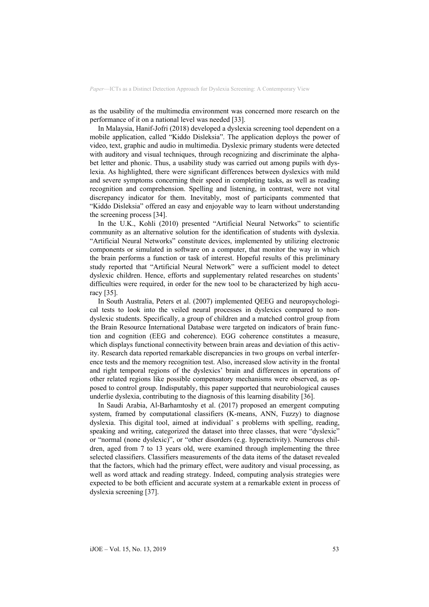as the usability of the multimedia environment was concerned more research on the performance of it on a national level was needed [33].

In Malaysia, Hanif-Jofri (2018) developed a dyslexia screening tool dependent on a mobile application, called "Kiddo Disleksia". The application deploys the power of video, text, graphic and audio in multimedia. Dyslexic primary students were detected with auditory and visual techniques, through recognizing and discriminate the alphabet letter and phonic. Thus, a usability study was carried out among pupils with dyslexia. As highlighted, there were significant differences between dyslexics with mild and severe symptoms concerning their speed in completing tasks, as well as reading recognition and comprehension. Spelling and listening, in contrast, were not vital discrepancy indicator for them. Inevitably, most of participants commented that "Kiddo Disleksia" offered an easy and enjoyable way to learn without understanding the screening process [34].

In the U.K., Kohli (2010) presented "Artificial Neural Networks" to scientific community as an alternative solution for the identification of students with dyslexia. "Artificial Neural Networks" constitute devices, implemented by utilizing electronic components or simulated in software on a computer, that monitor the way in which the brain performs a function or task of interest. Hopeful results of this preliminary study reported that "Artificial Neural Network" were a sufficient model to detect dyslexic children. Hence, efforts and supplementary related researches on students' difficulties were required, in order for the new tool to be characterized by high accuracy [35].

In South Australia, Peters et al. (2007) implemented QEEG and neuropsychological tests to look into the veiled neural processes in dyslexics compared to nondyslexic students. Specifically, a group of children and a matched control group from the Brain Resource International Database were targeted on indicators of brain function and cognition (EEG and coherence). EGG coherence constitutes a measure, which displays functional connectivity between brain areas and deviation of this activity. Research data reported remarkable discrepancies in two groups on verbal interference tests and the memory recognition test. Also, increased slow activity in the frontal and right temporal regions of the dyslexics' brain and differences in operations of other related regions like possible compensatory mechanisms were observed, as opposed to control group. Indisputably, this paper supported that neurobiological causes underlie dyslexia, contributing to the diagnosis of this learning disability [36].

In Saudi Arabia, Al-Barhamtoshy et al. (2017) proposed an emergent computing system, framed by computational classifiers (K-means, ANN, Fuzzy) to diagnose dyslexia. This digital tool, aimed at individual' s problems with spelling, reading, speaking and writing, categorized the dataset into three classes, that were "dyslexic" or "normal (none dyslexic)", or "other disorders (e.g. hyperactivity). Numerous children, aged from 7 to 13 years old, were examined through implementing the three selected classifiers. Classifiers measurements of the data items of the dataset revealed that the factors, which had the primary effect, were auditory and visual processing, as well as word attack and reading strategy. Indeed, computing analysis strategies were expected to be both efficient and accurate system at a remarkable extent in process of dyslexia screening [37].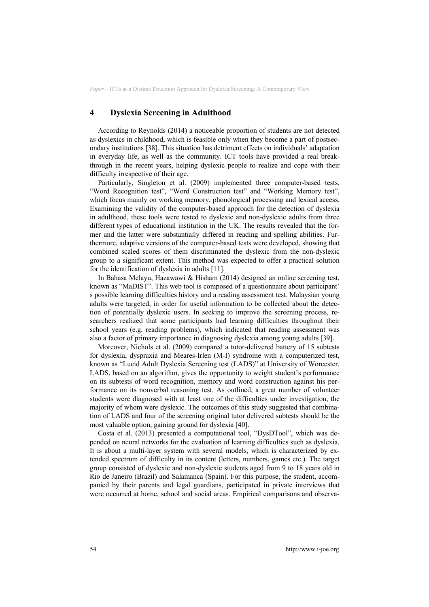#### **4 Dyslexia Screening in Adulthood**

According to Reynolds (2014) a noticeable proportion of students are not detected as dyslexics in childhood, which is feasible only when they become a part of postsecondary institutions [38]. This situation has detriment effects on individuals' adaptation in everyday life, as well as the community. ICT tools have provided a real breakthrough in the recent years, helping dyslexic people to realize and cope with their difficulty irrespective of their age.

Particularly, Singleton et al. (2009) implemented three computer-based tests, "Word Recognition test", "Word Construction test" and "Working Memory test", which focus mainly on working memory, phonological processing and lexical access. Examining the validity of the computer-based approach for the detection of dyslexia in adulthood, these tools were tested to dyslexic and non-dyslexic adults from three different types of educational institution in the UK. The results revealed that the former and the latter were substantially differed in reading and spelling abilities. Furthermore, adaptive versions of the computer-based tests were developed, showing that combined scaled scores of them discriminated the dyslexic from the non-dyslexic group to a significant extent. This method was expected to offer a practical solution for the identification of dyslexia in adults [11].

In Bahasa Melayu, Hazawawi & Hisham (2014) designed an online screening test, known as "MaDIST". This web tool is composed of a questionnaire about participant' s possible learning difficulties history and a reading assessment test. Malaysian young adults were targeted, in order for useful information to be collected about the detection of potentially dyslexic users. In seeking to improve the screening process, researchers realized that some participants had learning difficulties throughout their school years (e.g. reading problems), which indicated that reading assessment was also a factor of primary importance in diagnosing dyslexia among young adults [39].

Moreover, Nichols et al. (2009) compared a tutor-delivered battery of 15 subtests for dyslexia, dyspraxia and Meares-Irlen (M-I) syndrome with a computerized test, known as "Lucid Adult Dyslexia Screening test (LADS)" at University of Worcester. LADS, based on an algorithm, gives the opportunity to weight student's performance on its subtests of word recognition, memory and word construction against his performance on its nonverbal reasoning test. As outlined, a great number of volunteer students were diagnosed with at least one of the difficulties under investigation, the majority of whom were dyslexic. The outcomes of this study suggested that combination of LADS and four of the screening original tutor delivered subtests should be the most valuable option, gaining ground for dyslexia [40].

Costa et al. (2013) presented a computational tool, "DysDTool", which was depended on neural networks for the evaluation of learning difficulties such as dyslexia. It is about a multi-layer system with several models, which is characterized by extended spectrum of difficulty in its content (letters, numbers, games etc.). The target group consisted of dyslexic and non-dyslexic students aged from 9 to 18 years old in Rio de Janeiro (Brazil) and Salamanca (Spain). For this purpose, the student, accompanied by their parents and legal guardians, participated in private interviews that were occurred at home, school and social areas. Empirical comparisons and observa-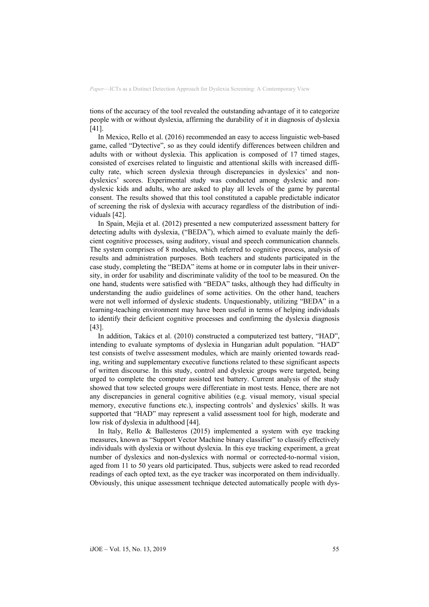tions of the accuracy of the tool revealed the outstanding advantage of it to categorize people with or without dyslexia, affirming the durability of it in diagnosis of dyslexia [41].

In Mexico, Rello et al. (2016) recommended an easy to access linguistic web-based game, called "Dytective", so as they could identify differences between children and adults with or without dyslexia. This application is composed of 17 timed stages, consisted of exercises related to linguistic and attentional skills with increased difficulty rate, which screen dyslexia through discrepancies in dyslexics' and nondyslexics' scores. Experimental study was conducted among dyslexic and nondyslexic kids and adults, who are asked to play all levels of the game by parental consent. The results showed that this tool constituted a capable predictable indicator of screening the risk of dyslexia with accuracy regardless of the distribution of individuals [42].

In Spain, Mejía et al. (2012) presented a new computerized assessment battery for detecting adults with dyslexia, ("BEDA"), which aimed to evaluate mainly the deficient cognitive processes, using auditory, visual and speech communication channels. The system comprises of 8 modules, which referred to cognitive process, analysis of results and administration purposes. Both teachers and students participated in the case study, completing the "BEDA" items at home or in computer labs in their university, in order for usability and discriminate validity of the tool to be measured. On the one hand, students were satisfied with "BEDA" tasks, although they had difficulty in understanding the audio guidelines of some activities. On the other hand, teachers were not well informed of dyslexic students. Unquestionably, utilizing "BEDA" in a learning-teaching environment may have been useful in terms of helping individuals to identify their deficient cognitive processes and confirming the dyslexia diagnosis [43].

In addition, Takács [et al](https://www.frontiersin.org/Community/WhosWhoActivity.aspx?sname=&UID=0). (2010) constructed a computerized test battery, "HAD", intending to evaluate symptoms of dyslexia in Hungarian adult population. "HAD" test consists of twelve assessment modules, which are mainly oriented towards reading, writing and supplementary executive functions related to these significant aspects of written discourse. In this study, control and dyslexic groups were targeted, being urged to complete the computer assisted test battery. Current analysis of the study showed that tow selected groups were differentiate in most tests. Hence, there are not any discrepancies in general cognitive abilities (e.g. visual memory, visual special memory, executive functions etc.), inspecting controls' and dyslexics' skills. It was supported that "HAD" may represent a valid assessment tool for high, moderate and low risk of dyslexia in adulthood [44].

In Italy, Rello & Ballesteros (2015) implemented a system with eye tracking measures, known as "Support Vector Machine binary classifier" to classify effectively individuals with dyslexia or without dyslexia. In this eye tracking experiment, a great number of dyslexics and non-dyslexics with normal or corrected-to-normal vision, aged from 11 to 50 years old participated. Thus, subjects were asked to read recorded readings of each opted text, as the eye tracker was incorporated on them individually. Obviously, this unique assessment technique detected automatically people with dys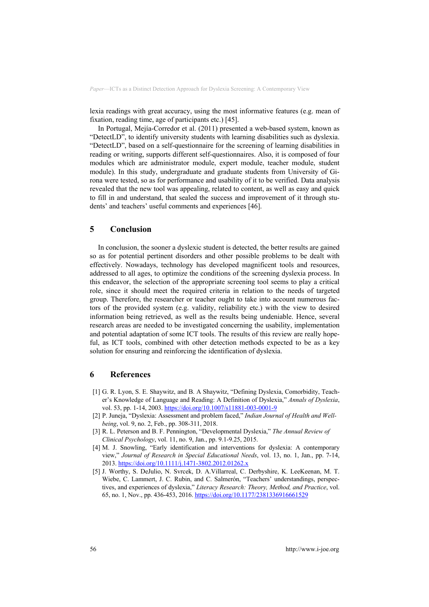lexia readings with great accuracy, using the most informative features (e.g. mean of fixation, reading time, age of participants etc.) [45].

In Portugal, Mejía-Corredor et al. (2011) presented a web-based system, known as "DetectLD", to identify university students with learning disabilities such as dyslexia. "DetectLD", based on a self-questionnaire for the screening of learning disabilities in reading or writing, supports different self-questionnaires. Also, it is composed of four modules which are administrator module, expert module, teacher module, student module). In this study, undergraduate and graduate students from University of Girona were tested, so as for performance and usability of it to be verified. Data analysis revealed that the new tool was appealing, related to content, as well as easy and quick to fill in and understand, that sealed the success and improvement of it through students' and teachers' useful comments and experiences [46].

### **5 Conclusion**

In conclusion, the sooner a dyslexic student is detected, the better results are gained so as for potential pertinent disorders and other possible problems to be dealt with effectively. Nowadays, technology has developed magnificent tools and resources, addressed to all ages, to optimize the conditions of the screening dyslexia process. In this endeavor, the selection of the appropriate screening tool seems to play a critical role, since it should meet the required criteria in relation to the needs of targeted group. Therefore, the researcher or teacher ought to take into account numerous factors of the provided system (e.g. validity, reliability etc.) with the view to desired information being retrieved, as well as the results being undeniable. Hence, several research areas are needed to be investigated concerning the usability, implementation and potential adaptation of some ICT tools. The results of this review are really hopeful, as ICT tools, combined with other detection methods expected to be as a key solution for ensuring and reinforcing the identification of dyslexia.

## **6 References**

- [1] G. R. Lyon, S. E. Shaywitz, and B. A Shaywitz, "Defining Dyslexia, Comorbidity, Teacher's Knowledge of Language and Reading: A Definition of Dyslexia," *Annals of Dyslexia*, vol. 53, pp. 1-14, 2003. https://doi.org/10.1007/s11881-003-0001-9
- [2] P. [Juneja, "Dyslexia: Assessment and pro](https://doi.org/10.1007/s11881-003-0001-9)blem faced," *Indian Journal of Health and Wellbeing*, vol. 9, no. 2, Feb., pp. 308-311, 2018.
- [3] R. L. Peterson and B. F. Pennington, "Developmental Dyslexia," *The Annual Review of Clinical Psychology*, vol. 11, no. 9, Jan., pp. 9.1-9.25, 2015.
- [4] M. J. Snowling, "Early identification and interventions for dyslexia: A contemporary view," *Journal of Research in Special Educational Needs*, vol. 13, no. 1, Jan., pp. 7-14, 2013. https://doi.org/10.1111/j.1471-3802.2012.01262.x
- [5] [J. Worthy, S. DeJulio, N. Svrcek, D. A.Villarre](https://doi.org/10.1111/j.1471-3802.2012.01262.x)al, C. Derbyshire, K. LeeKeenan, M. T. Wiebe, C. Lammert, J. C. Rubin, and C. Salmerón, "Teachers' understandings, perspectives, and experiences of dyslexia," *Literacy Research: Theory, Method, and Practice*, vol. 65, no. 1, Nov., pp. 436-453, 2016. https://doi.org/10.1177/2381336916661529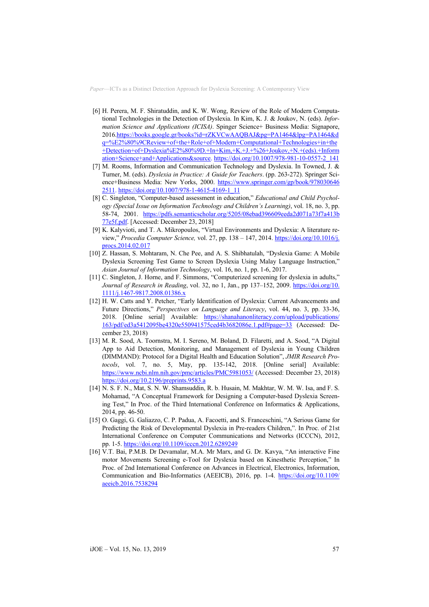- [6] [H. Perera, M. F. Shiratuddin,](https://doi.org/10.1177/2381336916661529) and K. W. Wong, Review of the Role of Modern Computational Technologies in the Detection of Dyslexia. In Kim, K. J. & Joukov, N. (eds). *Information Science and Applications (ICISA)*. Spinger Science+ Business Media: Signapore, 2016.https://books.google.gr/books?id=rZKVCwAAQBAJ&pg=PA1464&lpg=PA1464&d q=%E2%80%9CReview+of+the+Role+of+Modern+Computational+Technologies+in+the +Detection+of+Dyslexia%E2%80%9D.+In+Kim,+K.+J.+%26+Joukov,+N.+(eds).+Inform ation+Science+and+Applications&sourc[e. https://doi.org/10.1007/978-981-10-0557-2\\_141](https://books.google.gr/books?id=rZKVCwAAQBAJ&pg=PA1464&lpg=PA1464&dq=%E2%80%9CReview+of+the+Role+of+Modern+Computational+Technologies+in+the+Detection+of+Dyslexia%E2%80%9D.+In+Kim,+K.+J.+%26+Joukov,+N.+(eds).+Information+Science+and+Applications&source=bl&ots=aV5zmCU-aR&sig=ACfU3U0fk2FfasdFTA1EWf4AAcOPxD3h3w&hl=el&sa=X&ved=2ahUKEwjwo8f0torjAhXPeZoKHUcOAmAQ6AEwAHoECAMQAQ#v=onepage&q=%E2%80%9CReview%20of%20the%20Role%20of%20Modern%20Computational%20Technologies%20in%20the%20Detection%20of%20Dyslexia%E2%80%9D.%20In%20Kim%2C%20K.%20J.%20%26%20Joukov%2C%20N.%20(eds).%20Information%20Science%20and%20Applications&f=false)
- [7] [M. Rooms, Information and Communication Technology and Dyslexia. In Towned, J. &](https://books.google.gr/books?id=rZKVCwAAQBAJ&pg=PA1464&lpg=PA1464&dq=%E2%80%9CReview+of+the+Role+of+Modern+Computational+Technologies+in+the+Detection+of+Dyslexia%E2%80%9D.+In+Kim,+K.+J.+%26+Joukov,+N.+(eds).+Information+Science+and+Applications&source=bl&ots=aV5zmCU-aR&sig=ACfU3U0fk2FfasdFTA1EWf4AAcOPxD3h3w&hl=el&sa=X&ved=2ahUKEwjwo8f0torjAhXPeZoKHUcOAmAQ6AEwAHoECAMQAQ#v=onepage&q=%E2%80%9CReview%20of%20the%20Role%20of%20Modern%20Computational%20Technologies%20in%20the%20Detection%20of%20Dyslexia%E2%80%9D.%20In%20Kim%2C%20K.%20J.%20%26%20Joukov%2C%20N.%20(eds).%20Information%20Science%20and%20Applications&f=false) Turner, M. (eds). *[Dyslexia in Practice: A Guide for Teachers](https://books.google.gr/books?id=rZKVCwAAQBAJ&pg=PA1464&lpg=PA1464&dq=%E2%80%9CReview+of+the+Role+of+Modern+Computational+Technologies+in+the+Detection+of+Dyslexia%E2%80%9D.+In+Kim,+K.+J.+%26+Joukov,+N.+(eds).+Information+Science+and+Applications&source=bl&ots=aV5zmCU-aR&sig=ACfU3U0fk2FfasdFTA1EWf4AAcOPxD3h3w&hl=el&sa=X&ved=2ahUKEwjwo8f0torjAhXPeZoKHUcOAmAQ6AEwAHoECAMQAQ#v=onepage&q=%E2%80%9CReview%20of%20the%20Role%20of%20Modern%20Computational%20Technologies%20in%20the%20Detection%20of%20Dyslexia%E2%80%9D.%20In%20Kim%2C%20K.%20J.%20%26%20Joukov%2C%20N.%20(eds).%20Information%20Science%20and%20Applications&f=false)*. (pp. 263-272). Springer Sci[ence+Business Media: New Yorks, 200](https://books.google.gr/books?id=rZKVCwAAQBAJ&pg=PA1464&lpg=PA1464&dq=%E2%80%9CReview+of+the+Role+of+Modern+Computational+Technologies+in+the+Detection+of+Dyslexia%E2%80%9D.+In+Kim,+K.+J.+%26+Joukov,+N.+(eds).+Information+Science+and+Applications&source=bl&ots=aV5zmCU-aR&sig=ACfU3U0fk2FfasdFTA1EWf4AAcOPxD3h3w&hl=el&sa=X&ved=2ahUKEwjwo8f0torjAhXPeZoKHUcOAmAQ6AEwAHoECAMQAQ#v=onepage&q=%E2%80%9CReview%20of%20the%20Role%20of%20Modern%20Computational%20Technologies%20in%20the%20Detection%20of%20Dyslexia%E2%80%9D.%20In%20Kim%2C%20K.%20J.%20%26%20Joukov%2C%20N.%20(eds).%20Information%20Science%20and%20Applications&f=false)0. https://www.springer.com/gp/book/978030646 251[1. https://doi.org/10.1007/978-1-4615-4169-1\\_11](https://www.springer.com/gp/book/9780306462511)
- [8] C. [Singleton, "Computer-based assessment in](https://doi.org/10.1007/978-1-4615-4169-1_11) education," *Educational and Child Psychology (Special Issue on Information Technology and Children's Learning)*, vol. 18, no. 3, pp. 58-74, 2001. https://pdfs.semanticscholar.org/5205/08ebad396609eeda2d071a73f7a413b 77e5f.pdf. [\[Accessed: December](https://pdfs.semanticscholar.org/5205/08ebad396609eeda2d071a73f7a413b77e5f.pdf) 23, 2018]
- [9] K. Kalyvioti, [and T. A. Mikropoulos, "Virtual E](https://pdfs.semanticscholar.org/5205/08ebad396609eeda2d071a73f7a413b77e5f.pdf)nvironments and Dyslexia: Α literature review," *Procedia Computer Science,* vol. 27, pp. 138 – 147, 2014. https://doi.org/10.1016/j. procs.2014.02.017
- [10] Z. Hassan, S. [Mohtaram, N.](https://doi.org/10.1016/j.procs.2014.02.017) Che Pee, and A. S. Shibhatulah, "Dyslexia Game: A Mobile Dyslexia Screening Test Game to Screen Dyslexia Using Malay Language Instruction," *Asian Journal of Information Technology*, vol. 16, no. 1, pp. 1-6, 2017.
- [11] C. Singleton, J. Horne, and F. Simmons, "Computerized screening for dyslexia in adults," *Journal of Research in Reading*, vol. 32, no 1, Jan., pp 137–152, 2009. https://doi.org/10. 1111/j.1467-9817.2008.01386.[x](https://doi.org/10.1111/j.1467-9817.2008.01386.x)
- [12] H. W. Catts and Y. [Petcher, "Early Identificati](https://doi.org/10.1111/j.1467-9817.2008.01386.x)on of Dyslexia: Current Advancements and Future Directions," *Perspectives on Language and Literacy*, vol. 44, no. 3, pp. 33-36, 2018. [Online serial] Available: https://shanahanonliteracy.com/upload/publications/ 163/pdf/ed3a5412095be4320e550941575ced4b3682086e.1.pdf#page=33 [\(Accessed:](https://shanahanonliteracy.com/upload/publications/163/pdf/ed3a5412095be4320e550941575ced4b3682086e.1.pdf#page=33) December [23, 2018\)](https://shanahanonliteracy.com/upload/publications/163/pdf/ed3a5412095be4320e550941575ced4b3682086e.1.pdf#page=33)
- [13] M. R. [Sood, A. Toornstra, M. I.](https://shanahanonliteracy.com/upload/publications/163/pdf/ed3a5412095be4320e550941575ced4b3682086e.1.pdf#page=33) Sereno, [M. B](https://www.ncbi.nlm.nih.gov/pubmed/?term=Sereno%20MI%5BAuthor%5D&cauthor=true&cauthor_uid=29773528)oland, [D.](https://www.ncbi.nlm.nih.gov/pubmed/?term=Boland%20M%5BAuthor%5D&cauthor=true&cauthor_uid=29773528) Filaretti, [and A.](https://www.ncbi.nlm.nih.gov/pubmed/?term=Filaretti%20D%5BAuthor%5D&cauthor=true&cauthor_uid=29773528) Soo[d, "A](https://www.ncbi.nlm.nih.gov/pubmed/?term=Sood%20A%5BAuthor%5D&cauthor=true&cauthor_uid=29773528) Digital App to Aid Detection, Monitoring, and Management of Dyslexia in Young Children (DIMMAND): Protocol for a Digital Health and Education Solution", *JMIR Research Protocols*, vol. 7, no. 5, May, pp. 135-142, 2018. [Online serial] Available: https://www.ncbi.nlm.nih.gov/pmc/articles/PMC5981053/ (Accessed: [December 23, 2018\)](https://www.ncbi.nlm.nih.gov/pmc/articles/PMC5981053/) [https://doi.org/10.219](https://www.ncbi.nlm.nih.gov/pmc/articles/PMC5981053/)6/preprints.9583.a
- [14] N. S. F. N., Mat, [S. N. W. Shamsuddin,](https://doi.org/10.2196/preprints.9583.a) R. b. Husain, M. Makhtar, W. M. W. Isa, and F. S. Mohamad, "A Conceptual Framework for Designing a Computer-based Dyslexia Screening Test," In Proc. of the Third International Conference on Informatics & Applications, 2014, pp. 46-50.
- [15] O. Gaggi, G. Galiazzo, C. P. Padua, A. Facoetti, and S. Franceschini, "A Serious Game for Predicting the Risk of Developmental Dyslexia in Pre-readers Children,". In Proc. of 21st International Conference on Computer Communications and Networks (ICCCN), 2012, pp. 1-5. https://doi.org/10.1109/icccn.2012.6289249
- [16] [V.T. Bai, P.M.B. Dr Devamalar, M.A. Mr Ma](https://doi.org/10.1109/icccn.2012.6289249)rx, and G. Dr. Kavya, "An interactive Fine motor Movements Screening e-Tool for Dyslexia based on Kinesthetic Perception," In Proc. of 2nd International Conference on Advances in Electrical, Electronics, Information, Communication and Bio-Informatics (AEEICB), 2016, pp. 1-4. [https://doi.org/10.1109/](https://ieeexplore.ieee.org/xpl/mostRecentIssue.jsp?punumber=7529351) [aeeicb.2016.7538294](https://ieeexplore.ieee.org/xpl/mostRecentIssue.jsp?punumber=7529351)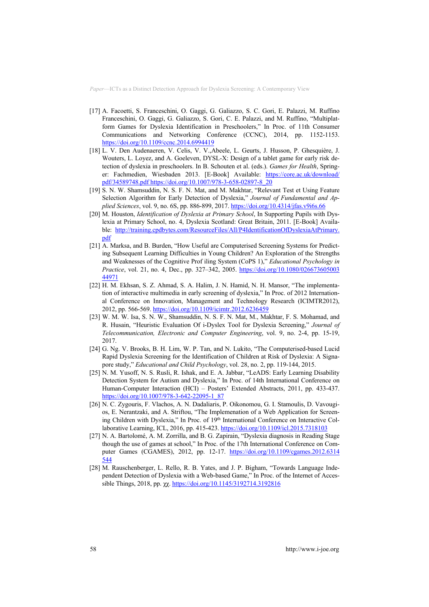- [17] [A. Facoetti, S. Franceschini,](https://ieeexplore.ieee.org/xpl/mostRecentIssue.jsp?punumber=7529351) O. Gaggi, G. Galiazzo, S. C. Gori, E. Palazzi, M. Ruffino Franceschini, O. Gaggi, G. Galiazzo, S. Gori, C. E. Palazzi, and M. Ruffino, "Multiplatform Games for Dyslexia Identification in Preschoolers," In Proc. of 11th Consumer Communications and Networking Conference (CCNC[\), 2014, pp. 1152-1153.](https://ieeexplore.ieee.org/xpl/mostRecentIssue.jsp?punumber=6858322) [https://doi.org/10.1109/ccnc.2014.6994](https://ieeexplore.ieee.org/xpl/mostRecentIssue.jsp?punumber=6858322)419
- [18] [L. V. Den Audenaeren, V. Celis, V. V.,Ab](https://doi.org/10.1109/ccnc.2014.6994419)eele, L. Geurts, J. Husson, P. Ghesquière, J. Wouters, L. Loyez, and A. Goeleven, DYSL-X: Design of a tablet game for early risk detection of dyslexia in preschoolers. In B. Schouten et al. (eds.). *Games for Health*, Springer: Fachmedien, Wiesbaden 2013. [E-Book] Available: https://core.ac.uk/download/ pdf/34589748.pdf [https://doi.org/10.1007/978-3-658-02897-8\\_20](https://core.ac.uk/download/pdf/34589748.pdf)
- [19] S. N. W. [Shamsuddin, N. S. F. N. Mat,](https://doi.org/10.1007/978-3-658-02897-8_20) and M. Makhtar, "Relevant Test et Using Feature Selection Algorithm for Early Detection of Dyslexia," *Journal of Fundamental and Applied Sciences*, vol. 9, no. 6S, pp. 886-899, 2017. https://doi.org/10.4314/jfas.v9i6s.66
- [20] M. Houston, *[Identification of Dyslex](https://doi.org/10.4314/jfas.v9i6s.66)ia at Primary School*, In Supporting Pupils with Dyslexia at Primary School, no. 4, Dyslexia Scotland: Great Britain, 2011. [E-Book] Available: http://training.cpdbytes.com/ResourceFiles/All/P4IdentificationOfDyslexiaAtPrimary. pd[f](http://training.cpdbytes.com/ResourceFiles/All/P4IdentificationOfDyslexiaAtPrimary.pdf)
- [21] A. Marksa, and B. [Burden, "How Useful are Computerised Screening Systems for Predic](http://training.cpdbytes.com/ResourceFiles/All/P4IdentificationOfDyslexiaAtPrimary.pdf)t[i](http://training.cpdbytes.com/ResourceFiles/All/P4IdentificationOfDyslexiaAtPrimary.pdf)ng Subsequent Learning Difficulties in Young Children? An Exploration of the Strengths and Weaknesses of the Cognitive Prof iling System (CoPS 1)," *Educational Psychology in Practice*, vol. 21, no. 4, Dec., pp. 327-342, 2005. https://doi.org/10.1080/026673605003 44971
- [22] [H. M. Ekhsan, S. Z. Ahmad, S. A. Halim, J](https://doi.org/10.1080/02667360500344971). N. Hamid, N. H. Mansor, "The implementation of interactive multimedia in early screening of dyslexia," In Proc. of 2012 International Conference on Innovation, Management and Technology Research (ICIMTR2012), 2012, pp. 566-569. https://doi.org/10.1109/icimtr.2012.6236459
- [23] W. M. W. Isa, [S. N. W., Shamsuddin,](https://doi.org/10.1109/icimtr.2012.6236459) N. S. F. N. Mat, M., Makhtar, F. S. Mohamad, and R. Husain, "Heuristic Evaluation Of i-Dyslex Tool for Dyslexia Screening," *Journal of Telecommunication, Electronic and Computer Engineering*, vol. 9, no. 2-4, pp. 15-19, 2017.
- [24] G. Ng. V. Brooks, B. H. Lim, W. P. Tan, and N. Lukito, "The Computerised-based Lucid Rapid Dyslexia Screening for the Identification of Children at Risk of Dyslexia: A Signapore study," *Educational and Child Psychology*, vol. 28, no. 2, pp. 119-144, 2015.
- [25] N. M. Yusoff, N. S. Rusli, R. Ishak, and E. A. Jabbar, "LeADS: Early Learning Disability Detection System for Autism and Dyslexia," In Proc. of 14th International Conference on Human-Computer Interaction (HCI) – Posters' Extended Abstracts, 2011, pp. 433-437. https://doi.org/10.1007/978-3-642-22095-1\_87
- [26] [N. C. Zygouris, F. Vlachos,](https://doi.org/10.1007/978-3-642-22095-1_87) A. N. Dadaliaris, P. Oikonomou, G. I. Stamoulis, D. Vavougios, E. Nerantzaki, and A. Striftou, "The Implemenation of a Web Application for Screening Children with Dyslexia," In Proc. of 19<sup>th</sup> International Conference on Interactive Collaborative Learning, ICL, 2016, pp. 415-423. https://doi.org/10.1109/icl.2015.7318103
- [27] N. A. [Bartolomé, A. M. Zorrilla,](https://doi.org/10.1109/icl.2015.7318103) and B. G. Zapirain, "Dyslexia diagnosis in Reading Stage though the use of games at school," In Proc. of the 17th International Conference on Computer Games (CGAMES), 2012, pp. 12-17. https://doi.org/10.1109/cgames.2012.6314 544
- [28] [M. Rauschenberger,](https://doi.org/10.1109/cgames.2012.6314544) L. Rello, R. B. Yates, and J. P. Bigham, "Towards Language Independent Detection of Dyslexia with a Web-based Game," In Proc. of the Internet of Accessible Things, 2018, pp. χχ. https://doi.org/10.1145/3192714.3192816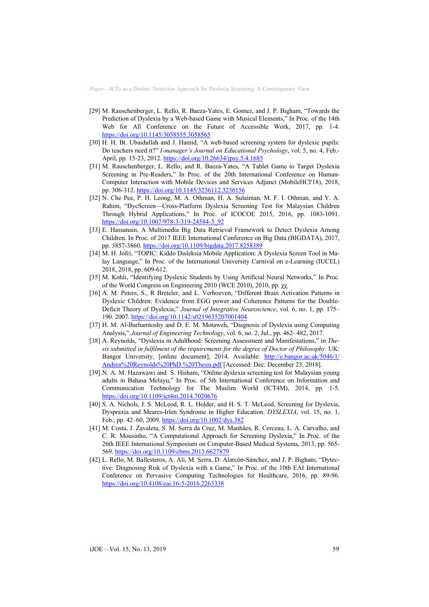- [29] [M. Rauschenberger, L.](https://doi.org/10.1145/3192714.3192816) Rello, R. Baeza-Yates, E. Gomez, and J. P. Bigham, "Towards the Prediction of Dyslexia by a Web-based Game with Musical Elements," In Proc. of the 14th Web for All Conference on the Future of Accessible Work, 2017, pp. 1-4. https://doi.org/10.1145/3058555.3058565
- [30] H. H. Bt. Ubaidullah and J. Hamid, "A web-based screening system for dyslexic pupils: Do teachers need it?" *I-manager's Journal on Educational Psychology*, vol. 5, no. 4, Feb.- April, pp. 15-23, 2012. https://doi.org/10.26634/jpsy.5.4.1685
- [31] [M. Rauschenberger,](https://doi.org/10.26634/jpsy.5.4.1685) L. Rello, and R. Baeza-Yates, "A Tablet Game to Target Dyslexia Screening in Pre-Readers," In Proc. of the 20th International Conference on Human-Computer Interaction with Mobile Devices and Services Adjunct (MobileHCI'18), 2018, pp. 306-312. https://doi.org/10.1145/3236112.3236156
- [32] N. Che Pee, [P. H. Leong,](https://doi.org/10.1145/3236112.3236156) M. A. Othman, H. A. Sulaiman, M. F. I. Othman, and Y. A. Rahim, "DycScreen—Cross-Platform Dyslexia Screening Test for Malaysian Children Through Hybrid Applications," In Proc. of ICOCOE 2015, 2016, pp. 1083-1091. https://doi.org/10.1007/978-3-319-24584-3\_92
- [33] E. Hassanain, [A Multimedia Big Data Retriev](https://doi.org/10.1007/978-3-319-24584-3_92)al Framework to Detect Dyslexia Among Children. In Proc. of 2017 IEEE International Conference on Big Data (BIGDATA), 2017, pp. 3857-3860. https://doi.org/10.1109/bigdata.2017.8258389
- [34] [M. H. Jofri, "TOPIC: Kiddo Disleksia Mobile](https://doi.org/10.1109/bigdata.2017.8258389) Application: A Dyslexia Screen Tool in Malay Language," In Proc. of the International University Carnival on e-Learning (IUCEL) 2018, 2018, pp. 609-612.
- [35] M. Kohli, "Identifying Dyslexic Students by Using Artificial Neural Networks," In Proc. of the World Congress on Engineering 2010 (WCE 2010), 2010, pp. χχ.
- [36] A. M. Peters, S., R Breteler, and L. Verhoeven, "Different Brain Activation Patterns in Dyslexic Children: Evidence from EGG power and Coherence Patterns for the Double-Deficit Theory of Dyslexia," *Journal of Integrative Neuroscience*, vol. 6, no. 1, pp. 175– 190. 2007. https://doi.org/10.1142/s0219635207001404
- [37] [H. M. Al-Barhamtoshy](https://doi.org/10.1142/s0219635207001404) and D. E. M. Motaweh, "Diagnosis of Dyslexia using Computing Analysis," *Journal of Engineering Technology*, vol. 6, no. 2, Jul., pp. 462- 482, 2017.
- [38] A. Reynolds, "Dyslexia in Adulthood: Screening Assessment and Manifestations," in *Thesis submitted in fulfilment of the requirements for the degree of Doctor of Philosophy*. UK: Bangor University, [online document], 2014. Available: http://e.bangor.ac.uk/5046/1/ Andrea%20Reynolds%20PhD.%20Thesis.pdf [\[Accessed: Dec:](http://e.bangor.ac.uk/5046/1/Andrea Reynolds PhD. Thesis.pdf) December 23, 2018].
- [39] [N. A. M. Hazawawi](http://e.bangor.ac.uk/5046/1/Andrea Reynolds PhD. Thesis.pdf) and [S. Hisham,](https://ieeexplore.ieee.org/search/searchresult.jsp?searchWithin=%22First%20Name%22:%22Nur%20Amalina%22&searchWithin=%22Last%20Name%22:%22Mohamad%20Hazawawi%22&newsearch=true) ["Online](https://ieeexplore.ieee.org/search/searchresult.jsp?searchWithin=%22First%20Name%22:%22Syariffanor%22&searchWithin=%22Last%20Name%22:%22Hisham%22&newsearch=true) dyslexia screening test for Malaysian young adults in Bahasa Melayu," In Proc. of 5th International Conference on Information and Communication Technology for The Muslim World (ICT4M), [2014, pp. 1-5.](https://ieeexplore.ieee.org/xpl/mostRecentIssue.jsp?punumber=7006292) [https://doi.org/10.1109/ict4m.2014.7020676](https://ieeexplore.ieee.org/xpl/mostRecentIssue.jsp?punumber=7006292)
- [40] S. A. Nichols, J. S. [McLeod, R. L.](https://ieeexplore.ieee.org/xpl/mostRecentIssue.jsp?punumber=7006292) Holder, and H. S. T. McLeod, Screening for Dyslexia, Dyspraxia and Meares-Irlen Syndrome in Higher Education. *DYSLEXIA*, vol. 15, no. 1, Feb., pp. 42–60, 2009. https://doi.org/10.1002/dys.382
- [41] M. Costa, [J. Zavaleta,](https://doi.org/10.1002/dys.382) S. M. Serra da Cruz, M. Manhães, R. Cerceau, L. A. Carvalho, and C. R. Mousinho, "A Computational Approach for Screening Dyslexia," In Proc. of the 26th IEEE International Symposium on Computer-Based Medical Systems, [2013, pp. 565](https://ieeexplore.ieee.org/xpl/mostRecentIssue.jsp?punumber=6607262)- 569. [https://doi.org/10.1109/cbms.2013.6627879](https://ieeexplore.ieee.org/xpl/mostRecentIssue.jsp?punumber=6607262)
- [42] L. [Rello, M.](https://ieeexplore.ieee.org/xpl/mostRecentIssue.jsp?punumber=6607262) [Ballesteros, A.](https://doi.org/10.1109/cbms.2013.6627879) Ali, M. Serra, D. Alarcón-Sánchez, and J. P. Bigham, "Dytective: Diagnosing Risk of Dyslexia with a Game," In Proc. of the 10th EAI International Conference on Pervasive Computing Technologies for Healthcare, 2016, pp. 89-96. https://doi.org/10.4108/eai.16-5-2016.2263338